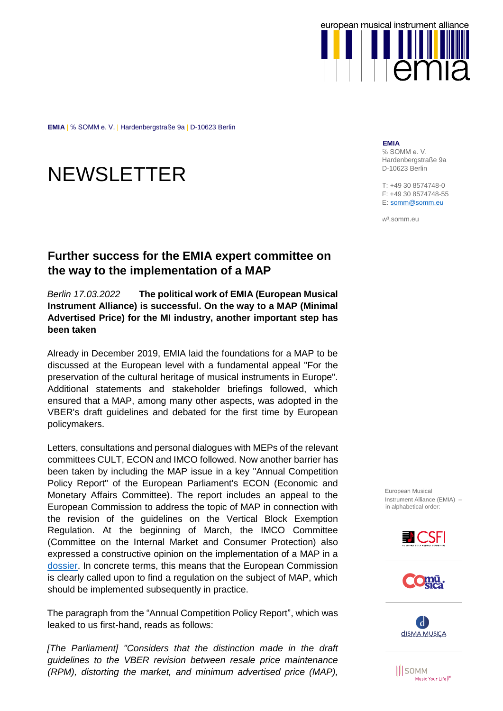

**EMIA** | ℅ SOMM e. V. | Hardenbergstraße 9a | D-10623 Berlin

## **NEWSLETTER**

## **Further success for the EMIA expert committee on the way to the implementation of a MAP**

## *Berlin 17.03.2022* **The political work of EMIA (European Musical Instrument Alliance) is successful. On the way to a MAP (Minimal Advertised Price) for the MI industry, another important step has been taken**

Already in December 2019, EMIA laid the foundations for a MAP to be discussed at the European level with a fundamental appeal "For the preservation of the cultural heritage of musical instruments in Europe". Additional statements and stakeholder briefings followed, which ensured that a MAP, among many other aspects, was adopted in the VBER's draft guidelines and debated for the first time by European policymakers.

Letters, consultations and personal dialogues with MEPs of the relevant committees CULT, ECON and IMCO followed. Now another barrier has been taken by including the MAP issue in a key "Annual Competition Policy Report" of the European Parliament's ECON (Economic and Monetary Affairs Committee). The report includes an appeal to the European Commission to address the topic of MAP in connection with the revision of the guidelines on the Vertical Block Exemption Regulation. At the beginning of March, the IMCO Committee (Committee on the Internal Market and Consumer Protection) also expressed a constructive opinion on the implementation of a MAP in a [dossier.](https://www.europarl.europa.eu/doceo/document/IMCO-AD-700476_EN.pdf) In concrete terms, this means that the European Commission is clearly called upon to find a regulation on the subject of MAP, which should be implemented subsequently in practice.

The paragraph from the "Annual Competition Policy Report", which was leaked to us first-hand, reads as follows:

*[The Parliament] "Considers that the distinction made in the draft guidelines to the VBER revision between resale price maintenance (RPM), distorting the market, and minimum advertised price (MAP),* 

**EMIA**

% SOMM e.V. Hardenbergstraße 9a D-10623 Berlin

T: +49 30 8574748-0 F: +49 30 8574748-55 E[: somm@somm.eu](mailto:somm@somm.eu)

w³.somm.eu

European Musical Instrument Alliance (EMIA) – in alphabetical order:







**III** SOMM Music Your Life<sup>U®</sup>